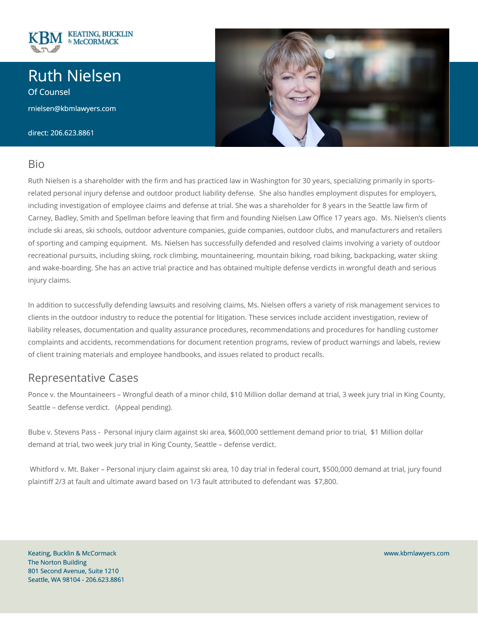

# Ruth Nielsen

Of Counsel

rnielsen@kbmlawyers.com

direct: 206.623.8861



Ruth Nielsen is a shareholder with the firm and has practiced law in Washington for 30 years, specializing primarily in sportsrelated personal injury defense and outdoor product liability defense. She also handles employment disputes for employers, including investigation of employee claims and defense at trial. She was a shareholder for 8 years in the Seattle law firm of Carney, Badley, Smith and Spellman before leaving that firm and founding Nielsen Law Office 17 years ago. Ms. Nielsen's clients include ski areas, ski schools, outdoor adventure companies, guide companies, outdoor clubs, and manufacturers and retailers of sporting and camping equipment. Ms. Nielsen has successfully defended and resolved claims involving a variety of outdoor recreational pursuits, including skiing, rock climbing, mountaineering, mountain biking, road biking, backpacking, water skiing and wake-boarding. She has an active trial practice and has obtained multiple defense verdicts in wrongful death and serious injury claims.

In addition to successfully defending lawsuits and resolving claims, Ms. Nielsen offers a variety of risk management services to clients in the outdoor industry to reduce the potential for litigation. These services include accident investigation, review of liability releases, documentation and quality assurance procedures, recommendations and procedures for handling customer complaints and accidents, recommendations for document retention programs, review of product warnings and labels, review of client training materials and employee handbooks, and issues related to product recalls.

#### Representative Cases

Ponce v. the Mountaineers – Wrongful death of a minor child, \$10 Million dollar demand at trial, 3 week jury trial in King County, Seattle – defense verdict. (Appeal pending).

Bube v. Stevens Pass - Personal injury claim against ski area, \$600,000 settlement demand prior to trial, \$1 Million dollar demand at trial, two week jury trial in King County, Seattle – defense verdict.

Whitford v. Mt. Baker – Personal injury claim against ski area, 10 day trial in federal court, \$500,000 demand at trial, jury found plaintiff 2/3 at fault and ultimate award based on 1/3 fault attributed to defendant was \$7,800.

Keating, Bucklin & McCormack The Norton Building 801 Second Avenue, Suite 1210 Seattle, WA 98104 - 206.623.8861



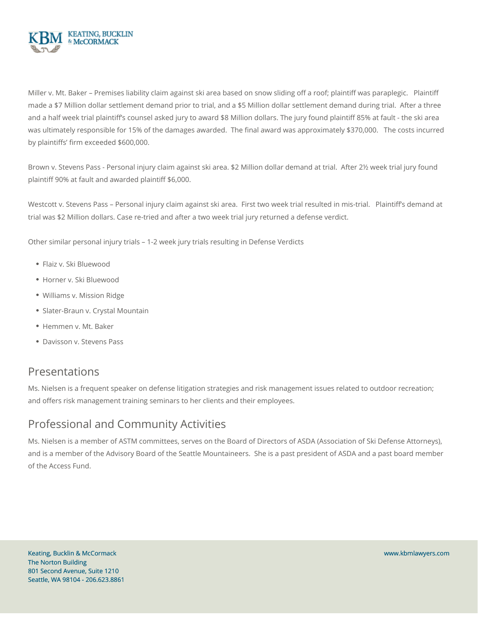

Miller v. Mt. Baker – Premises liability claim against ski area based on snow sliding off a roof; plaintiff was paraplegic. Plaintiff made a \$7 Million dollar settlement demand prior to trial, and a \$5 Million dollar settlement demand during trial. After a three and a half week trial plaintiff's counsel asked jury to award \$8 Million dollars. The jury found plaintiff 85% at fault - the ski area was ultimately responsible for 15% of the damages awarded. The final award was approximately \$370,000. The costs incurred by plaintiffs' firm exceeded \$600,000.

Brown v. Stevens Pass - Personal injury claim against ski area. \$2 Million dollar demand at trial. After 2½ week trial jury found plaintiff 90% at fault and awarded plaintiff \$6,000.

Westcott v. Stevens Pass - Personal injury claim against ski area. First two week trial resulted in mis-trial. Plaintiff's demand at trial was \$2 Million dollars. Case re-tried and after a two week trial jury returned a defense verdict.

Other similar personal injury trials – 1-2 week jury trials resulting in Defense Verdicts

- Flaiz v. Ski Bluewood
- Horner v. Ski Bluewood
- Williams v. Mission Ridge
- Slater-Braun v. Crystal Mountain
- Hemmen v. Mt. Baker
- Davisson v. Stevens Pass

#### Presentations

Ms. Nielsen is a frequent speaker on defense litigation strategies and risk management issues related to outdoor recreation; and offers risk management training seminars to her clients and their employees.

### Professional and Community Activities

Ms. Nielsen is a member of ASTM committees, serves on the Board of Directors of ASDA (Association of Ski Defense Attorneys), and is a member of the Advisory Board of the Seattle Mountaineers. She is a past president of ASDA and a past board member of the Access Fund.